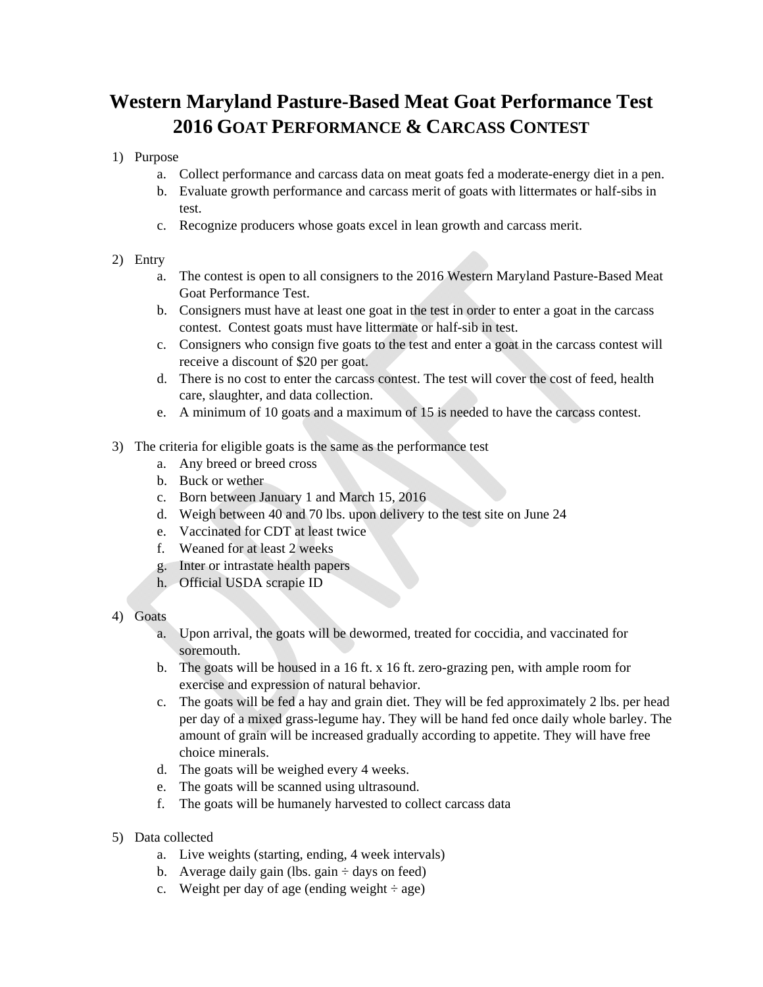## **Western Maryland Pasture-Based Meat Goat Performance Test 2016 GOAT PERFORMANCE & CARCASS CONTEST**

## 1) Purpose

- a. Collect performance and carcass data on meat goats fed a moderate-energy diet in a pen.
- b. Evaluate growth performance and carcass merit of goats with littermates or half-sibs in test.
- c. Recognize producers whose goats excel in lean growth and carcass merit.

## 2) Entry

- a. The contest is open to all consigners to the 2016 Western Maryland Pasture-Based Meat Goat Performance Test.
- b. Consigners must have at least one goat in the test in order to enter a goat in the carcass contest. Contest goats must have littermate or half-sib in test.
- c. Consigners who consign five goats to the test and enter a goat in the carcass contest will receive a discount of \$20 per goat.
- d. There is no cost to enter the carcass contest. The test will cover the cost of feed, health care, slaughter, and data collection.
- e. A minimum of 10 goats and a maximum of 15 is needed to have the carcass contest.
- 3) The criteria for eligible goats is the same as the performance test
	- a. Any breed or breed cross
	- b. Buck or wether
	- c. Born between January 1 and March 15, 2016
	- d. Weigh between 40 and 70 lbs. upon delivery to the test site on June 24
	- e. Vaccinated for CDT at least twice
	- f. Weaned for at least 2 weeks
	- g. Inter or intrastate health papers
	- h. Official USDA scrapie ID
- 4) Goats
	- a. Upon arrival, the goats will be dewormed, treated for coccidia, and vaccinated for soremouth.
	- b. The goats will be housed in a 16 ft. x 16 ft. zero-grazing pen, with ample room for exercise and expression of natural behavior.
	- c. The goats will be fed a hay and grain diet. They will be fed approximately 2 lbs. per head per day of a mixed grass-legume hay. They will be hand fed once daily whole barley. The amount of grain will be increased gradually according to appetite. They will have free choice minerals.
	- d. The goats will be weighed every 4 weeks.
	- e. The goats will be scanned using ultrasound.
	- f. The goats will be humanely harvested to collect carcass data
- 5) Data collected
	- a. Live weights (starting, ending, 4 week intervals)
	- b. Average daily gain (lbs. gain  $\div$  days on feed)
	- c. Weight per day of age (ending weight  $\div$  age)